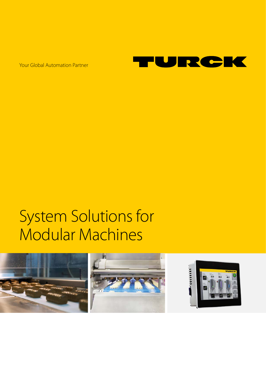Your Global Automation Partner



# System Solutions for Modular Machines

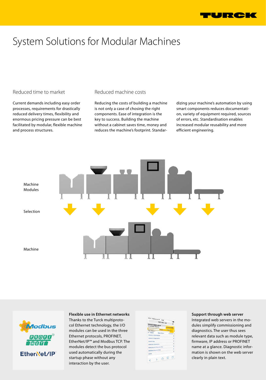

# System Solutions for Modular Machines

## Reduced time to market

Current demands including easy order processes, requirements for drastically reduced delivery times, flexibility and enormous pricing pressure can be best facilitated by modular, flexible machine and process structures.

## Reduced machine costs

Reducing the costs of building a machine is not only a case of chosing the right components. Ease of integration is the key to success. Building the machine without a cabinet saves time, money and reduces the machine's footprint. Standardizing your machine's automation by using smart components reduces documentation, variety of equipment required, sources of errors, etc. Standardisation enables increased modular reusability and more efficient engineering.





**Flexible use in Ethernet networks** Thanks to the Turck multiprotocol Ethernet technology, the I/O modules can be used in the three Ethernet protocols, PROFINET, EtherNet/IP™ and Modbus TCP. The modules detect the bus protocol used automatically during the startup phase without any interaction by the user.

|                                                    | mean: Tolpiusm.de W 1146<br>192.168.1.38 |                          |
|----------------------------------------------------|------------------------------------------|--------------------------|
|                                                    |                                          | e.                       |
| <b>FEN20-4DIP-4DXP</b><br><b>Embedded Website</b>  |                                          |                          |
|                                                    |                                          |                          |
| Penamier                                           | <b>Daged</b>                             |                          |
| Main Menu in                                       |                                          |                          |
| <- Back                                            | <b>Hain Hans</b>                         | Forward ->               |
| <b>Station Information</b>                         |                                          |                          |
| <b>Station Disposation</b>                         |                                          | 3                        |
| Event Log                                          |                                          | 3                        |
| <b>Ethernet Statistics</b>                         |                                          | x                        |
|                                                    |                                          | э                        |
| <b>Ethernet/IP Memory Hap</b><br>Hodina Hemary Hay |                                          | 5                        |
|                                                    |                                          | $\overline{\phantom{a}}$ |
| Lisha                                              |                                          |                          |
|                                                    |                                          |                          |

#### **Support through web server**

Integrated web servers in the modules simplify commissioning and diagnostics. The user thus sees relevant data such as module type, firmware, IP address or PROFINET name at a glance. Diagnostic information is shown on the web server clearly in plain text.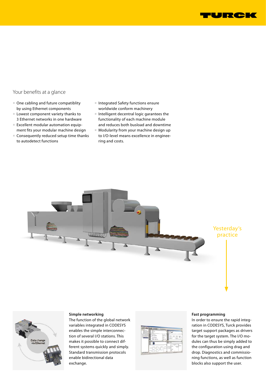

# Your benefits at a glance

- One cabling and future compatiblity by using Ethernet components
- Lowest component variety thanks to 3 Ethernet networks in one hardware
- Excellent modular automation equipment fits your modular machine design
- Consequently reduced setup time thanks to autodetect functions
- Integrated Safety functions ensure worldwide conform machinery
- Intelligent decentral logic garantees the functionality of each machine module and reduces both busload and downtime
- Modularity from your machine design up to I/O-level means excellence in engineering and costs.





#### **Simple networking**

The function of the global network variables integrated in CODESYS enables the simple interconnection of several I/O stations. This makes it possible to connect different systems quickly and simply. Standard transmission protocols enable bidirectional data exchange.



#### **Fast programming**

In order to ensure the rapid integration in CODESYS, Turck provides target support packages as drivers for the target system. The I/O modules can thus be simply added to the configuration using drag and drop. Diagnostics and commissioning functions, as well as function blocks also support the user.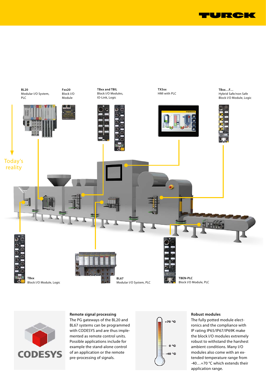





#### **Remote signal processing**

The PG gateways of the BL20 and BL67 systems can be programmed with CODESYS and are thus implemented as remote control units. Possible applications include for example the stand-alone control of an application or the remote pre-processing of signals.



#### **Robust modules**

The fully potted module electronics and the compliance with IP rating IP65/IP67/IP69K make the block I/O modules extremely robust to withstand the harshest ambient conditions. Many I/O modules also come with an extended temperature range from -40…+70 °C which extends their application range.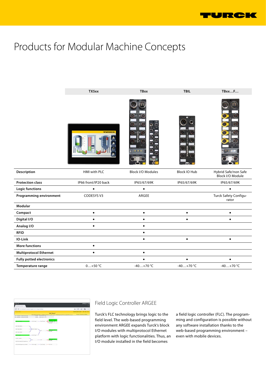

# Products for Modular Machine Concepts





# Field Logic Controller ARGEE

Turck's FLC technology brings logic to the field level. The web-based programming environment ARGEE expands Turck's block I/O modules with multiprotocol Ethernet platform with logic functionalities. Thus, an I/O module installed in the field becomes

a field logic controller (FLC). The programming and configuration is possible without any software installation thanks to the web-based programming environment – even with mobile devices.